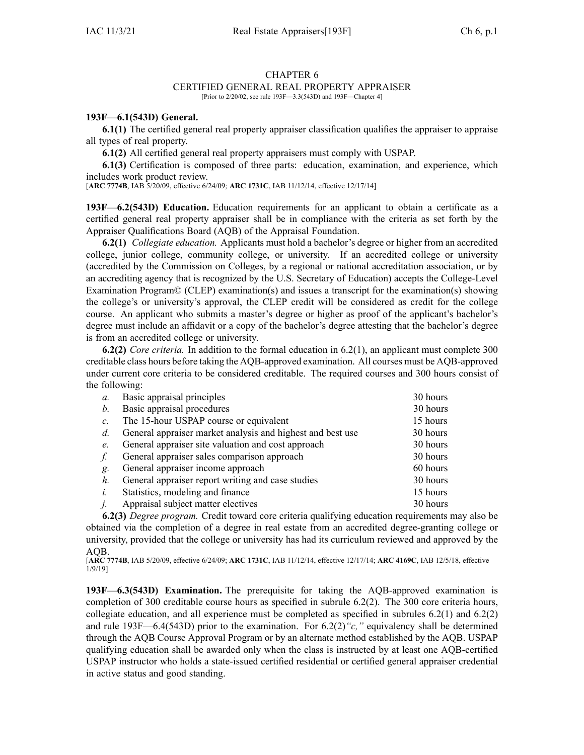## CHAPTER 6

## CERTIFIED GENERAL REAL PROPERTY APPRAISER

[Prior to 2/20/02, see rule 193F—3.3(543D) and 193F—Chapter 4]

## **193F—6.1(543D) General.**

**6.1(1)** The certified general real property appraiser classification qualifies the appraiser to appraise all types of real property.

**6.1(2)** All certified general real property appraisers must comply with USPAP.

**6.1(3)** Certification is composed of three parts: education, examination, and experience, which includes work product review.

[**ARC [7774B](https://www.legis.iowa.gov/docs/aco/arc/7774B.pdf)**, IAB 5/20/09, effective 6/24/09; **ARC [1731C](https://www.legis.iowa.gov/docs/aco/arc/1731C.pdf)**, IAB 11/12/14, effective 12/17/14]

**193F—6.2(543D) Education.** Education requirements for an applicant to obtain <sup>a</sup> certificate as <sup>a</sup> certified general real property appraiser shall be in compliance with the criteria as set forth by the Appraiser Qualifications Board (AQB) of the Appraisal Foundation.

**6.2(1)** *Collegiate education.* Applicants must hold <sup>a</sup> bachelor's degree or higher from an accredited college, junior college, community college, or university. If an accredited college or university (accredited by the Commission on Colleges, by <sup>a</sup> regional or national accreditation association, or by an accrediting agency that is recognized by the U.S. Secretary of Education) accepts the College-Level Examination Program© (CLEP) examination(s) and issues <sup>a</sup> transcript for the examination(s) showing the college's or university's approval, the CLEP credit will be considered as credit for the college course. An applicant who submits <sup>a</sup> master's degree or higher as proof of the applicant's bachelor's degree must include an affidavit or <sup>a</sup> copy of the bachelor's degree attesting that the bachelor's degree is from an accredited college or university.

**6.2(2)** *Core criteria.* In addition to the formal education in 6.2(1), an applicant must complete 300 creditable class hours before taking the AQB-approved examination. All courses must be AQB-approved under current core criteria to be considered creditable. The required courses and 300 hours consist of the following:

| $\mathfrak{a}$ . | Basic appraisal principles                                 | 30 hours |
|------------------|------------------------------------------------------------|----------|
| <i>b</i> .       | Basic appraisal procedures                                 | 30 hours |
| $c_{\cdot}$      | The 15-hour USPAP course or equivalent                     | 15 hours |
| $d_{\cdot}$      | General appraiser market analysis and highest and best use | 30 hours |
| $e_{\cdot}$      | General appraiser site valuation and cost approach         | 30 hours |
| f.               | General appraiser sales comparison approach                | 30 hours |
| g.               | General appraiser income approach                          | 60 hours |
| $h_{\cdot}$      | General appraiser report writing and case studies          | 30 hours |
| $i$ .            | Statistics, modeling and finance                           | 15 hours |
|                  | $i$ . Appraisal subject matter electives                   | 30 hours |

**6.2(3)** *Degree program.* Credit toward core criteria qualifying education requirements may also be obtained via the completion of <sup>a</sup> degree in real estate from an accredited degree-granting college or university, provided that the college or university has had its curriculum reviewed and approved by the AQB.

[**ARC [7774B](https://www.legis.iowa.gov/docs/aco/arc/7774B.pdf)**, IAB 5/20/09, effective 6/24/09; **ARC [1731C](https://www.legis.iowa.gov/docs/aco/arc/1731C.pdf)**, IAB 11/12/14, effective 12/17/14; **ARC [4169C](https://www.legis.iowa.gov/docs/aco/arc/4169C.pdf)**, IAB 12/5/18, effective 1/9/19]

**193F—6.3(543D) Examination.** The prerequisite for taking the AQB-approved examination is completion of 300 creditable course hours as specified in subrule [6.2\(2\)](https://www.legis.iowa.gov/docs/iac/rule/193F.6.2.pdf). The 300 core criteria hours, collegiate education, and all experience must be completed as specified in subrules [6.2\(1\)](https://www.legis.iowa.gov/docs/iac/rule/193F.6.2.pdf) and [6.2\(2\)](https://www.legis.iowa.gov/docs/iac/rule/193F.6.2.pdf) and rule [193F—6.4](https://www.legis.iowa.gov/docs/iac/rule/193F.6.4.pdf)(543D) prior to the examination. For  $6.2(2)$  "c," equivalency shall be determined through the AQB Course Approval Program or by an alternate method established by the AQB. USPAP qualifying education shall be awarded only when the class is instructed by at least one AQB-certified USPAP instructor who holds <sup>a</sup> state-issued certified residential or certified general appraiser credential in active status and good standing.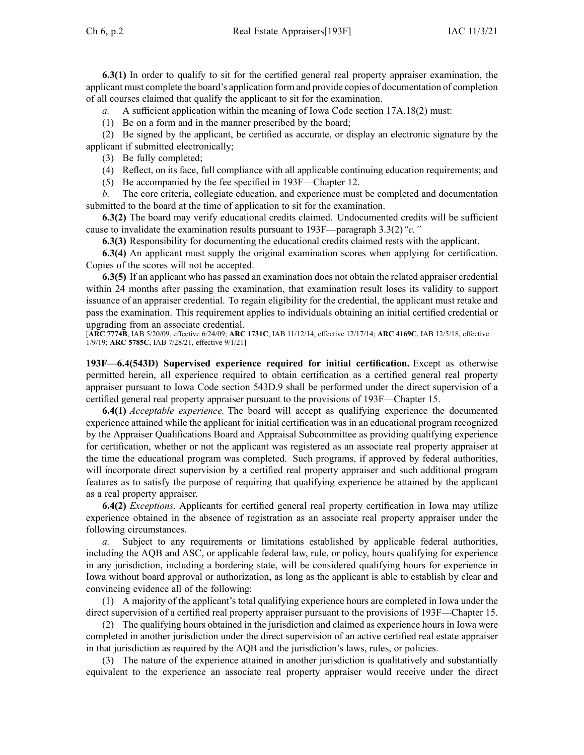**6.3(1)** In order to qualify to sit for the certified general real property appraiser examination, the applicant must complete the board's application form and provide copies of documentation of completion of all courses claimed that qualify the applicant to sit for the examination.

*a.* A sufficient application within the meaning of Iowa Code section [17A.18\(2\)](https://www.legis.iowa.gov/docs/ico/section/17A.18.pdf) must:

(1) Be on <sup>a</sup> form and in the manner prescribed by the board;

(2) Be signed by the applicant, be certified as accurate, or display an electronic signature by the applicant if submitted electronically;

(3) Be fully completed;

(4) Reflect, on its face, full compliance with all applicable continuing education requirements; and

(5) Be accompanied by the fee specified in 193F—Chapter 12.

*b.* The core criteria, collegiate education, and experience must be completed and documentation submitted to the board at the time of application to sit for the examination.

**6.3(2)** The board may verify educational credits claimed. Undocumented credits will be sufficient cause to invalidate the examination results pursuan<sup>t</sup> to [193F—paragraph](https://www.legis.iowa.gov/docs/iac/rule/193F.3.3.pdf) 3.3(2)*"c."*

**6.3(3)** Responsibility for documenting the educational credits claimed rests with the applicant.

**6.3(4)** An applicant must supply the original examination scores when applying for certification. Copies of the scores will not be accepted.

**6.3(5)** If an applicant who has passed an examination does not obtain the related appraiser credential within 24 months after passing the examination, that examination result loses its validity to suppor<sup>t</sup> issuance of an appraiser credential. To regain eligibility for the credential, the applicant must retake and pass the examination. This requirement applies to individuals obtaining an initial certified credential or upgrading from an associate credential.

[**ARC [7774B](https://www.legis.iowa.gov/docs/aco/arc/7774B.pdf)**, IAB 5/20/09, effective 6/24/09; **ARC [1731C](https://www.legis.iowa.gov/docs/aco/arc/1731C.pdf)**, IAB 11/12/14, effective 12/17/14; **ARC [4169C](https://www.legis.iowa.gov/docs/aco/arc/4169C.pdf)**, IAB 12/5/18, effective 1/9/19; **ARC [5785C](https://www.legis.iowa.gov/docs/aco/arc/5785C.pdf)**, IAB 7/28/21, effective 9/1/21]

**193F—6.4(543D) Supervised experience required for initial certification.** Except as otherwise permitted herein, all experience required to obtain certification as <sup>a</sup> certified general real property appraiser pursuan<sup>t</sup> to Iowa Code section [543D.9](https://www.legis.iowa.gov/docs/ico/section/543D.9.pdf) shall be performed under the direct supervision of <sup>a</sup> certified general real property appraiser pursuan<sup>t</sup> to the provisions of [193F—Chapter](https://www.legis.iowa.gov/docs/iac/chapter/193F.15.pdf) 15.

**6.4(1)** *Acceptable experience.* The board will accep<sup>t</sup> as qualifying experience the documented experience attained while the applicant for initial certification was in an educational program recognized by the Appraiser Qualifications Board and Appraisal Subcommittee as providing qualifying experience for certification, whether or not the applicant was registered as an associate real property appraiser at the time the educational program was completed. Such programs, if approved by federal authorities, will incorporate direct supervision by <sup>a</sup> certified real property appraiser and such additional program features as to satisfy the purpose of requiring that qualifying experience be attained by the applicant as <sup>a</sup> real property appraiser.

**6.4(2)** *Exceptions.* Applicants for certified general real property certification in Iowa may utilize experience obtained in the absence of registration as an associate real property appraiser under the following circumstances.

*a.* Subject to any requirements or limitations established by applicable federal authorities, including the AQB and ASC, or applicable federal law, rule, or policy, hours qualifying for experience in any jurisdiction, including <sup>a</sup> bordering state, will be considered qualifying hours for experience in Iowa without board approval or authorization, as long as the applicant is able to establish by clear and convincing evidence all of the following:

(1) A majority of the applicant's total qualifying experience hours are completed in Iowa under the direct supervision of <sup>a</sup> certified real property appraiser pursuan<sup>t</sup> to the provisions of [193F—Chapter](https://www.legis.iowa.gov/docs/iac/chapter/193F.15.pdf) 15.

(2) The qualifying hours obtained in the jurisdiction and claimed as experience hours in Iowa were completed in another jurisdiction under the direct supervision of an active certified real estate appraiser in that jurisdiction as required by the AQB and the jurisdiction's laws, rules, or policies.

(3) The nature of the experience attained in another jurisdiction is qualitatively and substantially equivalent to the experience an associate real property appraiser would receive under the direct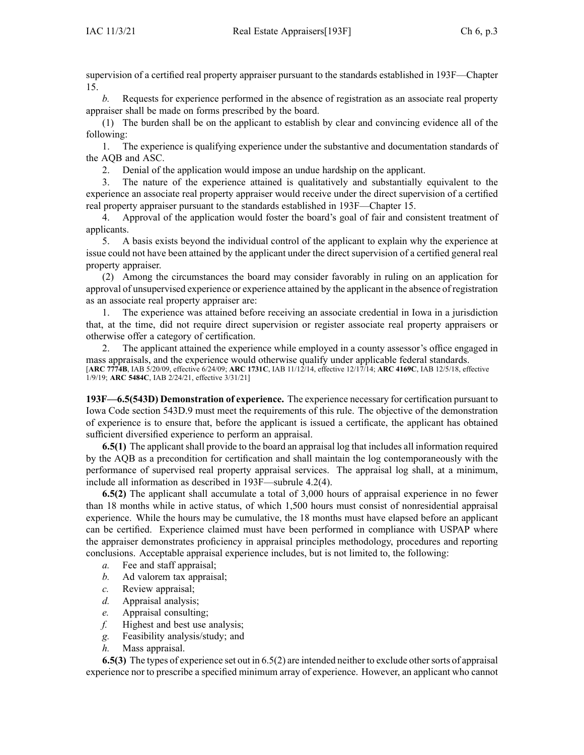supervision of <sup>a</sup> certified real property appraiser pursuan<sup>t</sup> to the standards established in [193F—Chapter](https://www.legis.iowa.gov/docs/iac/chapter/193F.15.pdf) [15](https://www.legis.iowa.gov/docs/iac/chapter/193F.15.pdf).

*b.* Requests for experience performed in the absence of registration as an associate real property appraiser shall be made on forms prescribed by the board.

(1) The burden shall be on the applicant to establish by clear and convincing evidence all of the following:

1. The experience is qualifying experience under the substantive and documentation standards of the AQB and ASC.

2. Denial of the application would impose an undue hardship on the applicant.

3. The nature of the experience attained is qualitatively and substantially equivalent to the experience an associate real property appraiser would receive under the direct supervision of <sup>a</sup> certified real property appraiser pursuan<sup>t</sup> to the standards established in [193F—Chapter](https://www.legis.iowa.gov/docs/iac/chapter/193F.15.pdf) 15.

4. Approval of the application would foster the board's goal of fair and consistent treatment of applicants.

5. A basis exists beyond the individual control of the applicant to explain why the experience at issue could not have been attained by the applicant under the direct supervision of <sup>a</sup> certified general real property appraiser.

(2) Among the circumstances the board may consider favorably in ruling on an application for approval of unsupervised experience or experience attained by the applicant in the absence of registration as an associate real property appraiser are:

1. The experience was attained before receiving an associate credential in Iowa in <sup>a</sup> jurisdiction that, at the time, did not require direct supervision or register associate real property appraisers or otherwise offer <sup>a</sup> category of certification.

2. The applicant attained the experience while employed in <sup>a</sup> county assessor's office engaged in mass appraisals, and the experience would otherwise qualify under applicable federal standards. [**ARC [7774B](https://www.legis.iowa.gov/docs/aco/arc/7774B.pdf)**, IAB 5/20/09, effective 6/24/09; **ARC [1731C](https://www.legis.iowa.gov/docs/aco/arc/1731C.pdf)**, IAB 11/12/14, effective 12/17/14; **ARC [4169C](https://www.legis.iowa.gov/docs/aco/arc/4169C.pdf)**, IAB 12/5/18, effective 1/9/19; **ARC [5484C](https://www.legis.iowa.gov/docs/aco/arc/5484C.pdf)**, IAB 2/24/21, effective 3/31/21]

**193F—6.5(543D) Demonstration of experience.** The experience necessary for certification pursuan<sup>t</sup> to Iowa Code section [543D.9](https://www.legis.iowa.gov/docs/ico/section/543D.9.pdf) must meet the requirements of this rule. The objective of the demonstration of experience is to ensure that, before the applicant is issued <sup>a</sup> certificate, the applicant has obtained sufficient diversified experience to perform an appraisal.

**6.5(1)** The applicant shall provide to the board an appraisal log that includes all information required by the AQB as <sup>a</sup> precondition for certification and shall maintain the log contemporaneously with the performance of supervised real property appraisal services. The appraisal log shall, at <sup>a</sup> minimum, include all information as described in [193F—subrule](https://www.legis.iowa.gov/docs/iac/rule/193F.4.2.pdf) 4.2(4).

**6.5(2)** The applicant shall accumulate <sup>a</sup> total of 3,000 hours of appraisal experience in no fewer than 18 months while in active status, of which 1,500 hours must consist of nonresidential appraisal experience. While the hours may be cumulative, the 18 months must have elapsed before an applicant can be certified. Experience claimed must have been performed in compliance with USPAP where the appraiser demonstrates proficiency in appraisal principles methodology, procedures and reporting conclusions. Acceptable appraisal experience includes, but is not limited to, the following:

- *a.* Fee and staff appraisal;
- *b.* Ad valorem tax appraisal;
- *c.* Review appraisal;
- *d.* Appraisal analysis;
- *e.* Appraisal consulting;
- *f.* Highest and best use analysis;
- *g.* Feasibility analysis/study; and
- *h.* Mass appraisal.

**6.5(3)** The types of experience set out in [6.5\(2\)](https://www.legis.iowa.gov/docs/iac/rule/193F.6.5.pdf) are intended neither to exclude other sorts of appraisal experience nor to prescribe <sup>a</sup> specified minimum array of experience. However, an applicant who cannot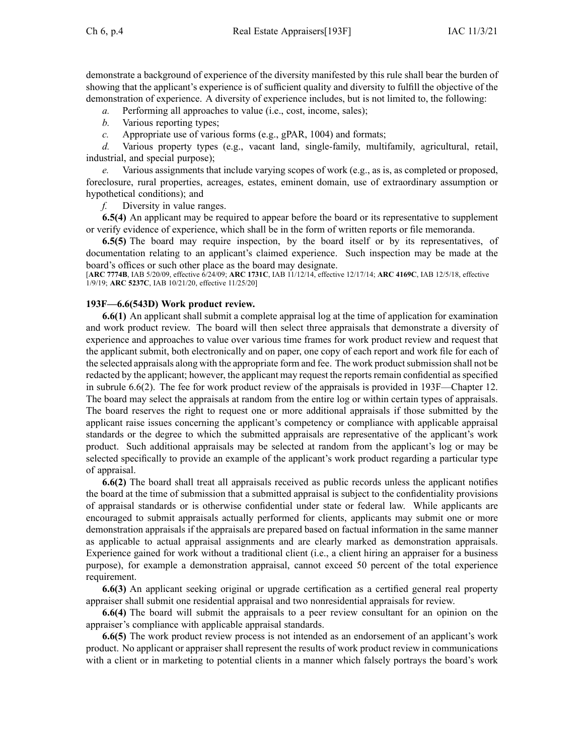demonstrate <sup>a</sup> background of experience of the diversity manifested by this rule shall bear the burden of showing that the applicant's experience is of sufficient quality and diversity to fulfill the objective of the demonstration of experience. A diversity of experience includes, but is not limited to, the following:

*a.* Performing all approaches to value (i.e., cost, income, sales);

*b.* Various reporting types;

*c.* Appropriate use of various forms (e.g., gPAR, 1004) and formats;

*d.* Various property types (e.g., vacant land, single-family, multifamily, agricultural, retail, industrial, and special purpose);

*e.* Various assignments that include varying scopes of work (e.g., as is, as completed or proposed, foreclosure, rural properties, acreages, estates, eminent domain, use of extraordinary assumption or hypothetical conditions); and

*f.* Diversity in value ranges.

**6.5(4)** An applicant may be required to appear before the board or its representative to supplement or verify evidence of experience, which shall be in the form of written reports or file memoranda.

**6.5(5)** The board may require inspection, by the board itself or by its representatives, of documentation relating to an applicant's claimed experience. Such inspection may be made at the board's offices or such other place as the board may designate.

[**ARC [7774B](https://www.legis.iowa.gov/docs/aco/arc/7774B.pdf)**, IAB 5/20/09, effective 6/24/09; **ARC [1731C](https://www.legis.iowa.gov/docs/aco/arc/1731C.pdf)**, IAB 11/12/14, effective 12/17/14; **ARC [4169C](https://www.legis.iowa.gov/docs/aco/arc/4169C.pdf)**, IAB 12/5/18, effective 1/9/19; **ARC [5237C](https://www.legis.iowa.gov/docs/aco/arc/5237C.pdf)**, IAB 10/21/20, effective 11/25/20]

## **193F—6.6(543D) Work product review.**

**6.6(1)** An applicant shall submit <sup>a</sup> complete appraisal log at the time of application for examination and work product review. The board will then select three appraisals that demonstrate <sup>a</sup> diversity of experience and approaches to value over various time frames for work product review and reques<sup>t</sup> that the applicant submit, both electronically and on paper, one copy of each repor<sup>t</sup> and work file for each of the selected appraisals along with the appropriate form and fee. The work product submission shall not be redacted by the applicant; however, the applicant may request the reports remain confidential as specified in subrule [6.6\(2\)](https://www.legis.iowa.gov/docs/iac/rule/193F.6.6.pdf). The fee for work product review of the appraisals is provided in [193F—Chapter](https://www.legis.iowa.gov/docs/iac/chapter/193F.12.pdf) 12. The board may select the appraisals at random from the entire log or within certain types of appraisals. The board reserves the right to reques<sup>t</sup> one or more additional appraisals if those submitted by the applicant raise issues concerning the applicant's competency or compliance with applicable appraisal standards or the degree to which the submitted appraisals are representative of the applicant's work product. Such additional appraisals may be selected at random from the applicant's log or may be selected specifically to provide an example of the applicant's work product regarding <sup>a</sup> particular type of appraisal.

**6.6(2)** The board shall treat all appraisals received as public records unless the applicant notifies the board at the time of submission that <sup>a</sup> submitted appraisal is subject to the confidentiality provisions of appraisal standards or is otherwise confidential under state or federal law. While applicants are encouraged to submit appraisals actually performed for clients, applicants may submit one or more demonstration appraisals if the appraisals are prepared based on factual information in the same manner as applicable to actual appraisal assignments and are clearly marked as demonstration appraisals. Experience gained for work without <sup>a</sup> traditional client (i.e., <sup>a</sup> client hiring an appraiser for <sup>a</sup> business purpose), for example <sup>a</sup> demonstration appraisal, cannot exceed 50 percen<sup>t</sup> of the total experience requirement.

**6.6(3)** An applicant seeking original or upgrade certification as <sup>a</sup> certified general real property appraiser shall submit one residential appraisal and two nonresidential appraisals for review.

**6.6(4)** The board will submit the appraisals to <sup>a</sup> peer review consultant for an opinion on the appraiser's compliance with applicable appraisal standards.

**6.6(5)** The work product review process is not intended as an endorsement of an applicant's work product. No applicant or appraiser shall represen<sup>t</sup> the results of work product review in communications with <sup>a</sup> client or in marketing to potential clients in <sup>a</sup> manner which falsely portrays the board's work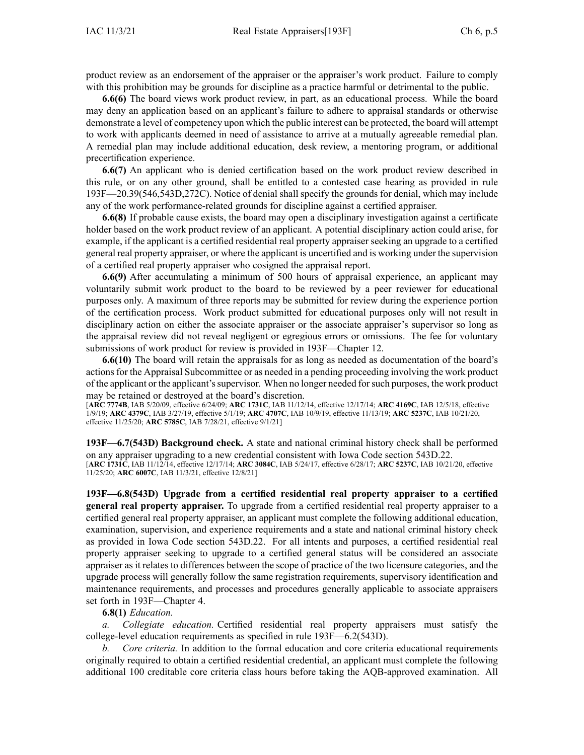product review as an endorsement of the appraiser or the appraiser's work product. Failure to comply with this prohibition may be grounds for discipline as <sup>a</sup> practice harmful or detrimental to the public.

**6.6(6)** The board views work product review, in part, as an educational process. While the board may deny an application based on an applicant's failure to adhere to appraisal standards or otherwise demonstrate <sup>a</sup> level of competency upon which the public interest can be protected, the board will attempt to work with applicants deemed in need of assistance to arrive at <sup>a</sup> mutually agreeable remedial plan. A remedial plan may include additional education, desk review, <sup>a</sup> mentoring program, or additional precertification experience.

**6.6(7)** An applicant who is denied certification based on the work product review described in this rule, or on any other ground, shall be entitled to <sup>a</sup> contested case hearing as provided in rule [193F—20.39](https://www.legis.iowa.gov/docs/iac/rule/193F.20.39.pdf)(546,543D,272C). Notice of denial shall specify the grounds for denial, which may include any of the work performance-related grounds for discipline against <sup>a</sup> certified appraiser.

**6.6(8)** If probable cause exists, the board may open <sup>a</sup> disciplinary investigation against <sup>a</sup> certificate holder based on the work product review of an applicant. A potential disciplinary action could arise, for example, if the applicant is <sup>a</sup> certified residential real property appraiser seeking an upgrade to <sup>a</sup> certified general real property appraiser, or where the applicant is uncertified and is working under the supervision of <sup>a</sup> certified real property appraiser who cosigned the appraisal report.

**6.6(9)** After accumulating <sup>a</sup> minimum of 500 hours of appraisal experience, an applicant may voluntarily submit work product to the board to be reviewed by <sup>a</sup> peer reviewer for educational purposes only. A maximum of three reports may be submitted for review during the experience portion of the certification process. Work product submitted for educational purposes only will not result in disciplinary action on either the associate appraiser or the associate appraiser's supervisor so long as the appraisal review did not reveal negligent or egregious errors or omissions. The fee for voluntary submissions of work product for review is provided in [193F—Chapter](https://www.legis.iowa.gov/docs/iac/chapter/193F.12.pdf) 12.

**6.6(10)** The board will retain the appraisals for as long as needed as documentation of the board's actionsfor the Appraisal Subcommittee or as needed in <sup>a</sup> pending proceeding involving the work product of the applicant or the applicant'ssupervisor. When no longer needed forsuch purposes, the work product may be retained or destroyed at the board's discretion.

[**ARC [7774B](https://www.legis.iowa.gov/docs/aco/arc/7774B.pdf)**, IAB 5/20/09, effective 6/24/09; **ARC [1731C](https://www.legis.iowa.gov/docs/aco/arc/1731C.pdf)**, IAB 11/12/14, effective 12/17/14; **ARC [4169C](https://www.legis.iowa.gov/docs/aco/arc/4169C.pdf)**, IAB 12/5/18, effective 1/9/19; **ARC [4379C](https://www.legis.iowa.gov/docs/aco/arc/4379C.pdf)**, IAB 3/27/19, effective 5/1/19; **ARC [4707C](https://www.legis.iowa.gov/docs/aco/arc/4707C.pdf)**, IAB 10/9/19, effective 11/13/19; **ARC [5237C](https://www.legis.iowa.gov/docs/aco/arc/5237C.pdf)**, IAB 10/21/20, effective 11/25/20; **ARC [5785C](https://www.legis.iowa.gov/docs/aco/arc/5785C.pdf)**, IAB 7/28/21, effective 9/1/21]

**193F—6.7(543D) Background check.** A state and national criminal history check shall be performed on any appraiser upgrading to <sup>a</sup> new credential consistent with Iowa Code section [543D.22](https://www.legis.iowa.gov/docs/ico/section/543D.22.pdf). [**ARC [1731C](https://www.legis.iowa.gov/docs/aco/arc/1731C.pdf)**, IAB 11/12/14, effective 12/17/14; **ARC [3084C](https://www.legis.iowa.gov/docs/aco/arc/3084C.pdf)**, IAB 5/24/17, effective 6/28/17; **ARC [5237C](https://www.legis.iowa.gov/docs/aco/arc/5237C.pdf)**, IAB 10/21/20, effective 11/25/20; **ARC [6007C](https://www.legis.iowa.gov/docs/aco/arc/6007C.pdf)**, IAB 11/3/21, effective 12/8/21]

**193F—6.8(543D) Upgrade from <sup>a</sup> certified residential real property appraiser to <sup>a</sup> certified general real property appraiser.** To upgrade from <sup>a</sup> certified residential real property appraiser to <sup>a</sup> certified general real property appraiser, an applicant must complete the following additional education, examination, supervision, and experience requirements and <sup>a</sup> state and national criminal history check as provided in Iowa Code section [543D.22](https://www.legis.iowa.gov/docs/ico/section/543D.22.pdf). For all intents and purposes, <sup>a</sup> certified residential real property appraiser seeking to upgrade to <sup>a</sup> certified general status will be considered an associate appraiser as it relates to differences between the scope of practice of the two licensure categories, and the upgrade process will generally follow the same registration requirements, supervisory identification and maintenance requirements, and processes and procedures generally applicable to associate appraisers set forth in [193F—Chapter](https://www.legis.iowa.gov/docs/iac/chapter/193F.4.pdf) 4.

**6.8(1)** *Education.*

*a. Collegiate education.* Certified residential real property appraisers must satisfy the college-level education requirements as specified in rule [193F—6.2](https://www.legis.iowa.gov/docs/iac/rule/193F.6.2.pdf)(543D).

*b. Core criteria.* In addition to the formal education and core criteria educational requirements originally required to obtain <sup>a</sup> certified residential credential, an applicant must complete the following additional 100 creditable core criteria class hours before taking the AQB-approved examination. All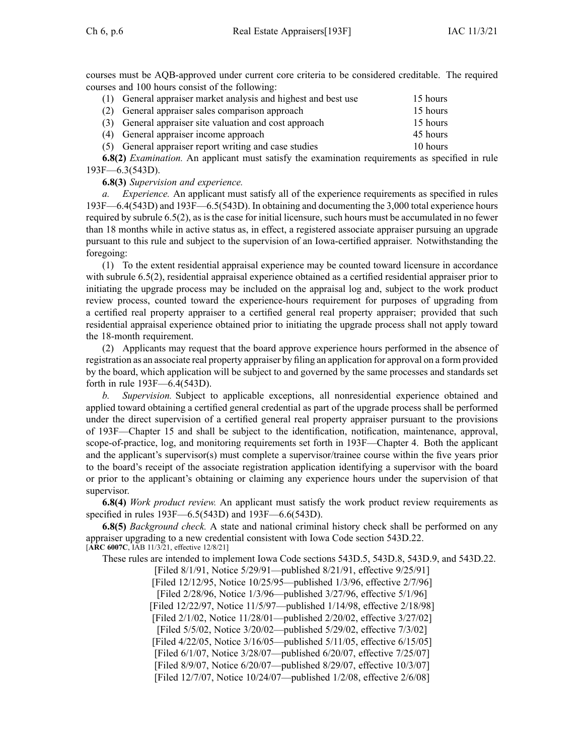courses must be AQB-approved under current core criteria to be considered creditable. The required courses and 100 hours consist of the following:

| (1) General appraiser market analysis and highest and best use | 15 hours |
|----------------------------------------------------------------|----------|
| (2) General appraiser sales comparison approach                | 15 hours |
| (3) General appraiser site valuation and cost approach         | 15 hours |
| (4) General appraiser income approach                          | 45 hours |
| (5) General appraiser report writing and case studies          | 10 hours |

**6.8(2)** *Examination.* An applicant must satisfy the examination requirements as specified in rule [193F—6.3](https://www.legis.iowa.gov/docs/iac/rule/193F.6.3.pdf)(543D).

**6.8(3)** *Supervision and experience.*

*a. Experience.* An applicant must satisfy all of the experience requirements as specified in rules [193F—6.4](https://www.legis.iowa.gov/docs/iac/rule/193F.6.4.pdf)(543D) and [193F—6.5](https://www.legis.iowa.gov/docs/iac/rule/193F.6.5.pdf)(543D). In obtaining and documenting the 3,000 total experience hours required by subrule [6.5\(2\)](https://www.legis.iowa.gov/docs/iac/rule/193F.6.5.pdf), asisthe case for initial licensure, such hours must be accumulated in no fewer than 18 months while in active status as, in effect, <sup>a</sup> registered associate appraiser pursuing an upgrade pursuan<sup>t</sup> to this rule and subject to the supervision of an Iowa-certified appraiser. Notwithstanding the foregoing:

(1) To the extent residential appraisal experience may be counted toward licensure in accordance with subrule [6.5\(2\)](https://www.legis.iowa.gov/docs/iac/rule/193F.6.5.pdf), residential appraisal experience obtained as <sup>a</sup> certified residential appraiser prior to initiating the upgrade process may be included on the appraisal log and, subject to the work product review process, counted toward the experience-hours requirement for purposes of upgrading from <sup>a</sup> certified real property appraiser to <sup>a</sup> certified general real property appraiser; provided that such residential appraisal experience obtained prior to initiating the upgrade process shall not apply toward the 18-month requirement.

(2) Applicants may reques<sup>t</sup> that the board approve experience hours performed in the absence of registration as an associate real property appraiser by filing an application for approval on <sup>a</sup> form provided by the board, which application will be subject to and governed by the same processes and standards set forth in rule [193F—6.4](https://www.legis.iowa.gov/docs/iac/rule/193F.6.4.pdf)(543D).

*b. Supervision.* Subject to applicable exceptions, all nonresidential experience obtained and applied toward obtaining <sup>a</sup> certified general credential as par<sup>t</sup> of the upgrade process shall be performed under the direct supervision of <sup>a</sup> certified general real property appraiser pursuan<sup>t</sup> to the provisions of [193F—Chapter](https://www.legis.iowa.gov/docs/iac/chapter/193F.15.pdf) 15 and shall be subject to the identification, notification, maintenance, approval, scope-of-practice, log, and monitoring requirements set forth in [193F—Chapter](https://www.legis.iowa.gov/docs/iac/chapter/193F.4.pdf) 4. Both the applicant and the applicant's supervisor(s) must complete <sup>a</sup> supervisor/trainee course within the five years prior to the board's receipt of the associate registration application identifying <sup>a</sup> supervisor with the board or prior to the applicant's obtaining or claiming any experience hours under the supervision of that supervisor.

**6.8(4)** *Work product review.* An applicant must satisfy the work product review requirements as specified in rules [193F—6.5](https://www.legis.iowa.gov/docs/iac/rule/193F.6.5.pdf)(543D) and [193F—6.6](https://www.legis.iowa.gov/docs/iac/rule/193F.6.6.pdf)(543D).

**6.8(5)** *Background check.* A state and national criminal history check shall be performed on any appraiser upgrading to <sup>a</sup> new credential consistent with Iowa Code section [543D.22](https://www.legis.iowa.gov/docs/ico/section/543D.22.pdf). [**ARC [6007C](https://www.legis.iowa.gov/docs/aco/arc/6007C.pdf)**, IAB 11/3/21, effective 12/8/21]

These rules are intended to implement Iowa Code sections [543D.5](https://www.legis.iowa.gov/docs/ico/section/543D.5.pdf), [543D.8](https://www.legis.iowa.gov/docs/ico/section/543D.8.pdf), [543D.9](https://www.legis.iowa.gov/docs/ico/section/543D.9.pdf), and [543D.22](https://www.legis.iowa.gov/docs/ico/section/543D.22.pdf).

[Filed 8/1/91, Notice 5/29/91—published 8/21/91, effective 9/25/91] [Filed 12/12/95, Notice 10/25/95—published 1/3/96, effective 2/7/96] [Filed 2/28/96, Notice 1/3/96—published 3/27/96, effective 5/1/96] [Filed 12/22/97, Notice 11/5/97—published 1/14/98, effective 2/18/98] [Filed 2/1/02, Notice 11/28/01—published 2/20/02, effective 3/27/02] [Filed 5/5/02, Notice 3/20/02—published 5/29/02, effective 7/3/02] [Filed 4/22/05, Notice 3/16/05—published 5/11/05, effective 6/15/05] [Filed 6/1/07, Notice 3/28/07—published 6/20/07, effective 7/25/07] [Filed 8/9/07, Notice 6/20/07—published 8/29/07, effective 10/3/07] [Filed 12/7/07, Notice 10/24/07—published 1/2/08, effective 2/6/08]